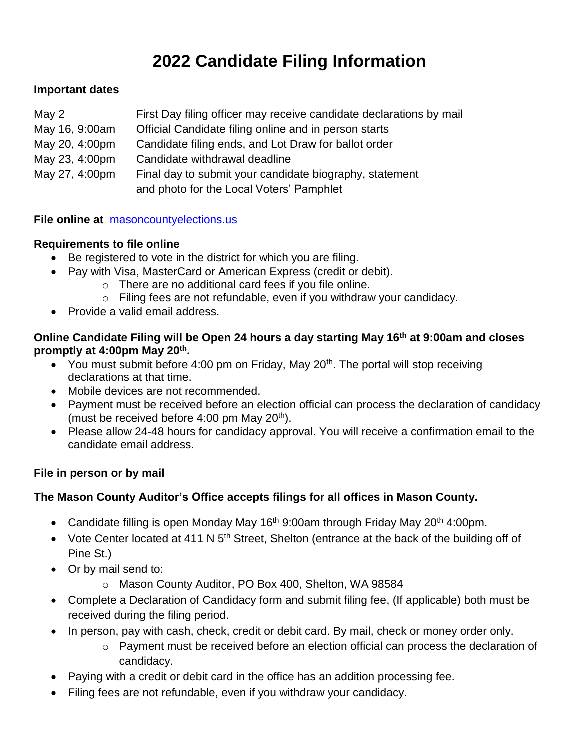# **2022 Candidate Filing Information**

# **Important dates**

| May 2          | First Day filing officer may receive candidate declarations by mail |
|----------------|---------------------------------------------------------------------|
| May 16, 9:00am | Official Candidate filing online and in person starts               |
| May 20, 4:00pm | Candidate filing ends, and Lot Draw for ballot order                |
| May 23, 4:00pm | Candidate withdrawal deadline                                       |
| May 27, 4:00pm | Final day to submit your candidate biography, statement             |
|                | and photo for the Local Voters' Pamphlet                            |

#### **File online at** [masoncountyelections.us](http://www.co.mason.wa.us/elections)

#### **Requirements to file online**

- Be registered to vote in the district for which you are filing.
- Pay with Visa, MasterCard or American Express (credit or debit).
	- o There are no additional card fees if you file online.
	- o Filing fees are not refundable, even if you withdraw your candidacy.
- Provide a valid email address.

# **Online Candidate Filing will be Open 24 hours a day starting May 16th at 9:00am and closes promptly at 4:00pm May 20th .**

- You must submit before 4:00 pm on Friday, May  $20<sup>th</sup>$ . The portal will stop receiving declarations at that time.
- Mobile devices are not recommended.
- Payment must be received before an election official can process the declaration of candidacy (must be received before  $4:00$  pm May  $20<sup>th</sup>$ ).
- Please allow 24-48 hours for candidacy approval. You will receive a confirmation email to the candidate email address.

# **File in person or by mail**

# **The Mason County Auditor's Office accepts filings for all offices in Mason County.**

- Candidate filling is open Monday May 16<sup>th</sup> 9:00am through Friday May 20<sup>th</sup> 4:00pm.
- Vote Center located at 411 N  $5<sup>th</sup>$  Street, Shelton (entrance at the back of the building off of Pine St.)
- Or by mail send to:
	- o Mason County Auditor, PO Box 400, Shelton, WA 98584
- Complete a Declaration of Candidacy form and submit filing fee, (If applicable) both must be received during the filing period.
- In person, pay with cash, check, credit or debit card. By mail, check or money order only.
	- o Payment must be received before an election official can process the declaration of candidacy.
- Paying with a credit or debit card in the office has an addition processing fee.
- Filing fees are not refundable, even if you withdraw your candidacy.